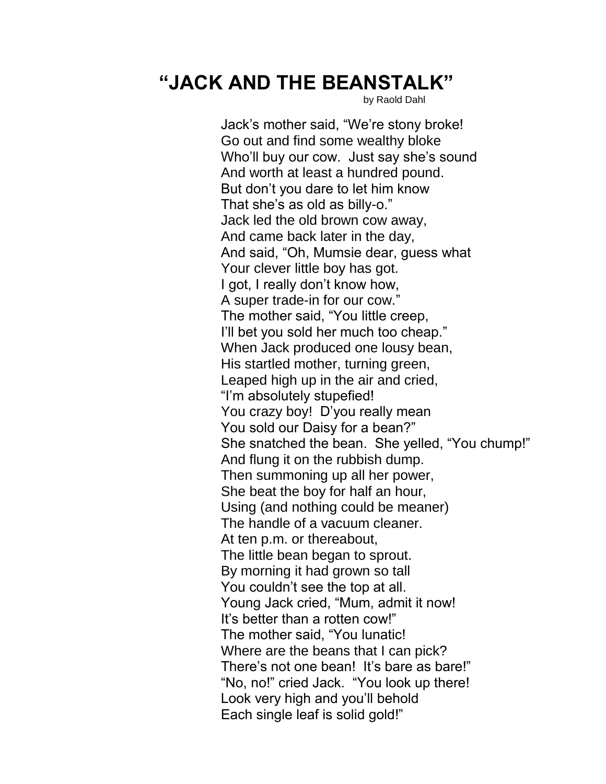## **"JACK AND THE BEANSTALK"**

by Raold Dahl

Jack's mother said, "We're stony broke! Go out and find some wealthy bloke Who'll buy our cow. Just say she's sound And worth at least a hundred pound. But don't you dare to let him know That she's as old as billy-o." Jack led the old brown cow away, And came back later in the day, And said, "Oh, Mumsie dear, guess what Your clever little boy has got. I got, I really don't know how, A super trade-in for our cow." The mother said, "You little creep, I'll bet you sold her much too cheap." When Jack produced one lousy bean, His startled mother, turning green, Leaped high up in the air and cried, "I'm absolutely stupefied! You crazy boy! D'you really mean You sold our Daisy for a bean?" She snatched the bean. She yelled, "You chump!" And flung it on the rubbish dump. Then summoning up all her power, She beat the boy for half an hour, Using (and nothing could be meaner) The handle of a vacuum cleaner. At ten p.m. or thereabout, The little bean began to sprout. By morning it had grown so tall You couldn't see the top at all. Young Jack cried, "Mum, admit it now! It's better than a rotten cow!" The mother said, "You lunatic! Where are the beans that I can pick? There's not one bean! It's bare as bare!" "No, no!" cried Jack. "You look up there! Look very high and you'll behold Each single leaf is solid gold!"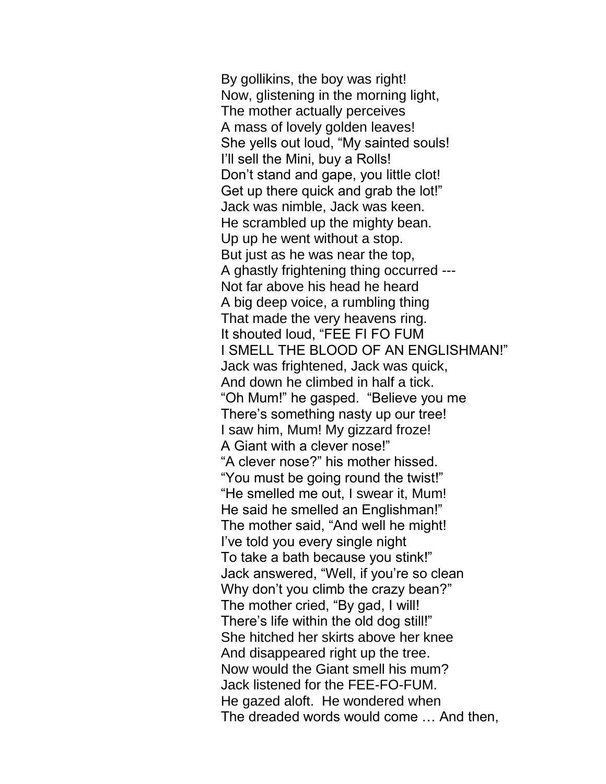By gollikins, the boy was right! Now, glistening in the morning light, The mother actually perceives A mass of lovely golden leaves! She yells out loud, "My sainted souls! I'll sell the Mini, buy a Rolls! Don't stand and gape, you little clot! Get up there quick and grab the lot!" Jack was nimble, Jack was keen. He scrambled up the mighty bean. Up up he went without a stop. But just as he was near the top, A ghastly frightening thing occurred --- Not far above his head he heard A big deep voice, a rumbling thing That made the very heavens ring. It shouted loud, "FEE FI FO FUM I SMELL THE BLOOD OF AN ENGLISHMAN!" Jack was frightened, Jack was quick, And down he climbed in half a tick. "Oh Mum!" he gasped. "Believe you me There's something nasty up our tree! I saw him, Mum! My gizzard froze! A Giant with a clever nose!" "A clever nose?" his mother hissed. "You must be going round the twist!" "He smelled me out, I swear it, Mum! He said he smelled an Englishman!" The mother said, "And well he might! I've told you every single night To take a bath because you stink!" Jack answered, "Well, if you're so clean Why don't you climb the crazy bean?" The mother cried, "By gad, I will! There's life within the old dog still!" She hitched her skirts above her knee And disappeared right up the tree. Now would the Giant smell his mum? Jack listened for the FEE-FO-FUM. He gazed aloft. He wondered when The dreaded words would come … And then,